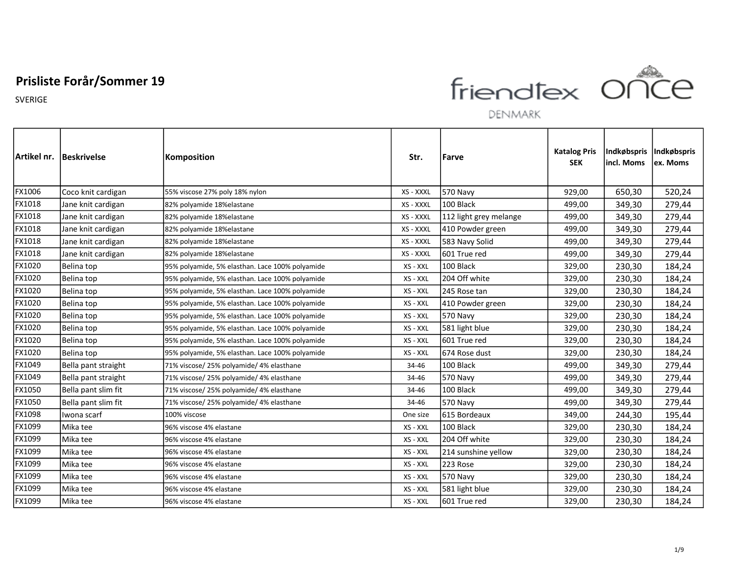

DENMARK

|        | Artikel nr.  Beskrivelse | Komposition                                     | Str.      | Farve                  | <b>Katalog Pris</b><br><b>SEK</b> | Indkøbspris<br>incl. Moms | Indkøbspris<br>ex. Moms |
|--------|--------------------------|-------------------------------------------------|-----------|------------------------|-----------------------------------|---------------------------|-------------------------|
| FX1006 | Coco knit cardigan       | 55% viscose 27% poly 18% nylon                  | XS - XXXL | <b>570 Navy</b>        | 929,00                            | 650,30                    | 520,24                  |
| FX1018 | Jane knit cardigan       | 82% polyamide 18% elastane                      | XS - XXXL | 100 Black              | 499,00                            | 349,30                    | 279,44                  |
| FX1018 | Jane knit cardigan       | 82% polyamide 18%elastane                       | XS - XXXL | 112 light grey melange | 499,00                            | 349,30                    | 279,44                  |
| FX1018 | Jane knit cardigan       | 82% polyamide 18% elastane                      | XS - XXXL | 410 Powder green       | 499,00                            | 349,30                    | 279,44                  |
| FX1018 | Jane knit cardigan       | 82% polyamide 18% elastane                      | XS - XXXL | 583 Navy Solid         | 499,00                            | 349,30                    | 279,44                  |
| FX1018 | Jane knit cardigan       | 82% polyamide 18%elastane                       | XS - XXXL | 601 True red           | 499,00                            | 349,30                    | 279,44                  |
| FX1020 | Belina top               | 95% polyamide, 5% elasthan. Lace 100% polyamide | XS - XXL  | 100 Black              | 329,00                            | 230,30                    | 184,24                  |
| FX1020 | Belina top               | 95% polyamide, 5% elasthan. Lace 100% polyamide | XS - XXL  | 204 Off white          | 329,00                            | 230,30                    | 184,24                  |
| FX1020 | Belina top               | 95% polyamide, 5% elasthan. Lace 100% polyamide | XS - XXL  | 245 Rose tan           | 329,00                            | 230,30                    | 184,24                  |
| FX1020 | Belina top               | 95% polyamide, 5% elasthan. Lace 100% polyamide | XS - XXL  | 410 Powder green       | 329,00                            | 230,30                    | 184,24                  |
| FX1020 | Belina top               | 95% polyamide, 5% elasthan. Lace 100% polyamide | XS - XXL  | <b>570 Navy</b>        | 329,00                            | 230,30                    | 184,24                  |
| FX1020 | Belina top               | 95% polyamide, 5% elasthan. Lace 100% polyamide | XS - XXL  | 581 light blue         | 329,00                            | 230,30                    | 184,24                  |
| FX1020 | Belina top               | 95% polyamide, 5% elasthan. Lace 100% polyamide | XS - XXL  | 601 True red           | 329,00                            | 230,30                    | 184,24                  |
| FX1020 | Belina top               | 95% polyamide, 5% elasthan. Lace 100% polyamide | XS - XXL  | 674 Rose dust          | 329,00                            | 230,30                    | 184,24                  |
| FX1049 | Bella pant straight      | 71% viscose/ 25% polyamide/ 4% elasthane        | 34-46     | 100 Black              | 499,00                            | 349,30                    | 279,44                  |
| FX1049 | Bella pant straight      | 71% viscose/ 25% polyamide/ 4% elasthane        | 34-46     | 570 Navy               | 499,00                            | 349,30                    | 279,44                  |
| FX1050 | Bella pant slim fit      | 71% viscose/ 25% polyamide/ 4% elasthane        | 34-46     | 100 Black              | 499,00                            | 349,30                    | 279,44                  |
| FX1050 | Bella pant slim fit      | 71% viscose/ 25% polyamide/ 4% elasthane        | 34-46     | 570 Navy               | 499,00                            | 349,30                    | 279,44                  |
| FX1098 | Iwona scarf              | 100% viscose                                    | One size  | 615 Bordeaux           | 349,00                            | 244,30                    | 195,44                  |
| FX1099 | Mika tee                 | 96% viscose 4% elastane                         | XS - XXL  | 100 Black              | 329,00                            | 230,30                    | 184,24                  |
| FX1099 | Mika tee                 | 96% viscose 4% elastane                         | XS - XXL  | 204 Off white          | 329,00                            | 230,30                    | 184,24                  |
| FX1099 | Mika tee                 | 96% viscose 4% elastane                         | XS - XXL  | 214 sunshine yellow    | 329,00                            | 230,30                    | 184,24                  |
| FX1099 | Mika tee                 | 96% viscose 4% elastane                         | XS - XXL  | 223 Rose               | 329,00                            | 230,30                    | 184,24                  |
| FX1099 | Mika tee                 | 96% viscose 4% elastane                         | XS - XXL  | 570 Navy               | 329,00                            | 230,30                    | 184,24                  |
| FX1099 | Mika tee                 | 96% viscose 4% elastane                         | XS - XXL  | 581 light blue         | 329,00                            | 230,30                    | 184,24                  |
| FX1099 | Mika tee                 | 96% viscose 4% elastane                         | XS - XXL  | 601 True red           | 329,00                            | 230,30                    | 184,24                  |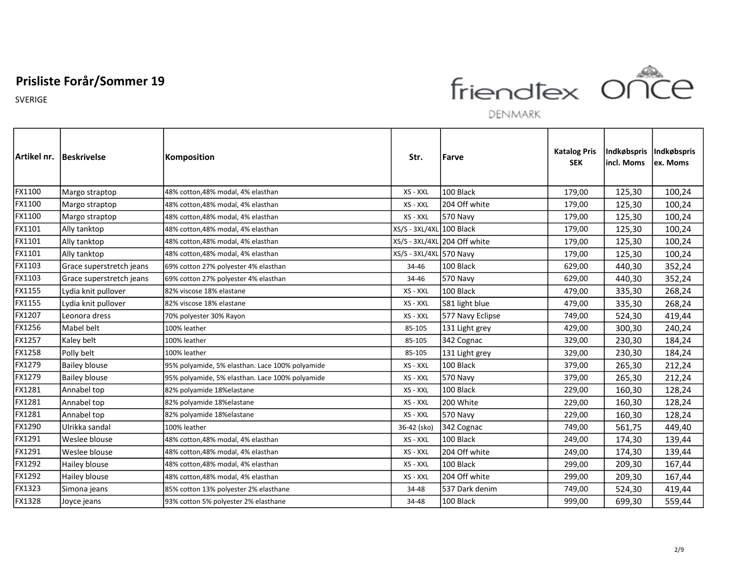

DENMARK

|        | Artikel nr. Beskrivelse  | Komposition                                     | Str.                     | Farve                        | <b>Katalog Pris</b><br><b>SEK</b> | Indkøbspris<br>incl. Moms | <i>Indkøbspris</i><br>ex. Moms |
|--------|--------------------------|-------------------------------------------------|--------------------------|------------------------------|-----------------------------------|---------------------------|--------------------------------|
| FX1100 | Margo straptop           | 48% cotton, 48% modal, 4% elasthan              | XS - XXL                 | 100 Black                    | 179,00                            | 125,30                    | 100,24                         |
| FX1100 | Margo straptop           | 48% cotton, 48% modal, 4% elasthan              | XS - XXL                 | 204 Off white                | 179,00                            | 125,30                    | 100,24                         |
| FX1100 | Margo straptop           | 48% cotton,48% modal, 4% elasthan               | XS - XXL                 | <b>570 Navy</b>              | 179,00                            | 125,30                    | 100,24                         |
| FX1101 | Ally tanktop             | 48% cotton,48% modal, 4% elasthan               | XS/S - 3XL/4XL 100 Black |                              | 179,00                            | 125,30                    | 100,24                         |
| FX1101 | Ally tanktop             | 48% cotton,48% modal, 4% elasthan               |                          | XS/S - 3XL/4XL 204 Off white | 179,00                            | 125,30                    | 100,24                         |
| FX1101 | Ally tanktop             | 48% cotton, 48% modal, 4% elasthan              | XS/S - 3XL/4XL 570 Navy  |                              | 179,00                            | 125,30                    | 100,24                         |
| FX1103 | Grace superstretch jeans | 69% cotton 27% polyester 4% elasthan            | 34-46                    | 100 Black                    | 629,00                            | 440,30                    | 352,24                         |
| FX1103 | Grace superstretch jeans | 69% cotton 27% polyester 4% elasthan            | 34-46                    | <b>570 Navy</b>              | 629,00                            | 440,30                    | 352,24                         |
| FX1155 | Lydia knit pullover      | 82% viscose 18% elastane                        | XS - XXL                 | 100 Black                    | 479,00                            | 335,30                    | 268,24                         |
| FX1155 | Lydia knit pullover      | 82% viscose 18% elastane                        | XS - XXL                 | 581 light blue               | 479,00                            | 335,30                    | 268,24                         |
| FX1207 | Leonora dress            | 70% polyester 30% Rayon                         | XS - XXL                 | 577 Navy Eclipse             | 749,00                            | 524,30                    | 419,44                         |
| FX1256 | Mabel belt               | 100% leather                                    | 85-105                   | 131 Light grey               | 429,00                            | 300,30                    | 240,24                         |
| FX1257 | Kaley belt               | 100% leather                                    | 85-105                   | 342 Cognac                   | 329,00                            | 230,30                    | 184,24                         |
| FX1258 | Polly belt               | 100% leather                                    | 85-105                   | 131 Light grey               | 329,00                            | 230,30                    | 184,24                         |
| FX1279 | <b>Bailey blouse</b>     | 95% polyamide, 5% elasthan. Lace 100% polyamide | XS - XXL                 | 100 Black                    | 379,00                            | 265,30                    | 212,24                         |
| FX1279 | <b>Bailey blouse</b>     | 95% polyamide, 5% elasthan. Lace 100% polyamide | XS - XXL                 | 570 Navy                     | 379,00                            | 265,30                    | 212,24                         |
| FX1281 | Annabel top              | 82% polyamide 18%elastane                       | XS - XXL                 | 100 Black                    | 229,00                            | 160,30                    | 128,24                         |
| FX1281 | Annabel top              | 82% polyamide 18%elastane                       | XS - XXL                 | 200 White                    | 229,00                            | 160,30                    | 128,24                         |
| FX1281 | Annabel top              | 82% polyamide 18%elastane                       | XS - XXL                 | 570 Navy                     | 229,00                            | 160,30                    | 128,24                         |
| FX1290 | Ulrikka sandal           | 100% leather                                    | 36-42 (sko)              | 342 Cognac                   | 749,00                            | 561,75                    | 449,40                         |
| FX1291 | Weslee blouse            | 48% cotton,48% modal, 4% elasthan               | XS - XXL                 | 100 Black                    | 249,00                            | 174,30                    | 139,44                         |
| FX1291 | Weslee blouse            | 48% cotton, 48% modal, 4% elasthan              | XS - XXL                 | 204 Off white                | 249,00                            | 174,30                    | 139,44                         |
| FX1292 | Hailey blouse            | 48% cotton,48% modal, 4% elasthan               | XS - XXL                 | 100 Black                    | 299,00                            | 209,30                    | 167,44                         |
| FX1292 | Hailey blouse            | 48% cotton, 48% modal, 4% elasthan              | XS - XXL                 | 204 Off white                | 299,00                            | 209,30                    | 167,44                         |
| FX1323 | Simona jeans             | 85% cotton 13% polyester 2% elasthane           | 34-48                    | 537 Dark denim               | 749,00                            | 524,30                    | 419,44                         |
| FX1328 | Joyce jeans              | 93% cotton 5% polyester 2% elasthane            | 34-48                    | 100 Black                    | 999,00                            | 699,30                    | 559,44                         |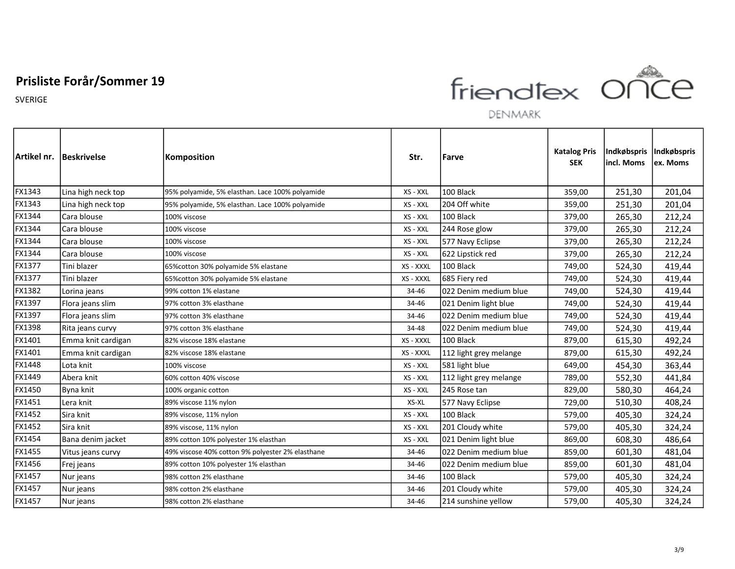SVERIGE



| Artikel nr. | <b>Beskrivelse</b> | <b>Komposition</b>                               | Str.      | Farve                  | <b>Katalog Pris</b><br><b>SEK</b> | Indkøbspris<br>lincl. Moms | Indkøbspris<br>lex. Moms |
|-------------|--------------------|--------------------------------------------------|-----------|------------------------|-----------------------------------|----------------------------|--------------------------|
| FX1343      | Lina high neck top | 95% polyamide, 5% elasthan. Lace 100% polyamide  | XS - XXL  | 100 Black              | 359,00                            | 251,30                     | 201,04                   |
| FX1343      | Lina high neck top | 95% polyamide, 5% elasthan. Lace 100% polyamide  | XS - XXL  | 204 Off white          | 359,00                            | 251,30                     | 201,04                   |
| FX1344      | Cara blouse        | 100% viscose                                     | XS - XXL  | 100 Black              | 379,00                            | 265,30                     | 212,24                   |
| FX1344      | Cara blouse        | 100% viscose                                     | XS - XXL  | 244 Rose glow          | 379,00                            | 265,30                     | 212,24                   |
| FX1344      | Cara blouse        | 100% viscose                                     | XS - XXL  | 577 Navy Eclipse       | 379,00                            | 265,30                     | 212,24                   |
| FX1344      | Cara blouse        | 100% viscose                                     | XS - XXL  | 622 Lipstick red       | 379,00                            | 265,30                     | 212,24                   |
| FX1377      | Tini blazer        | 65% cotton 30% polyamide 5% elastane             | XS - XXXL | 100 Black              | 749,00                            | 524,30                     | 419,44                   |
| FX1377      | Tini blazer        | 65% cotton 30% polyamide 5% elastane             | XS - XXXL | 685 Fiery red          | 749,00                            | 524,30                     | 419,44                   |
| FX1382      | Lorina jeans       | 99% cotton 1% elastane                           | 34-46     | 022 Denim medium blue  | 749,00                            | 524,30                     | 419,44                   |
| FX1397      | Flora jeans slim   | 97% cotton 3% elasthane                          | 34-46     | 021 Denim light blue   | 749,00                            | 524,30                     | 419,44                   |
| FX1397      | Flora jeans slim   | 97% cotton 3% elasthane                          | 34-46     | l022 Denim medium blue | 749,00                            | 524,30                     | 419,44                   |
| FX1398      | Rita jeans curvy   | 97% cotton 3% elasthane                          | 34-48     | 022 Denim medium blue  | 749,00                            | 524,30                     | 419,44                   |
| FX1401      | Emma knit cardigan | 82% viscose 18% elastane                         | XS - XXXL | 100 Black              | 879,00                            | 615,30                     | 492,24                   |
| FX1401      | Emma knit cardigan | 82% viscose 18% elastane                         | XS - XXXL | 112 light grey melange | 879,00                            | 615,30                     | 492,24                   |
| FX1448      | Lota knit          | 100% viscose                                     | XS - XXL  | 581 light blue         | 649,00                            | 454,30                     | 363,44                   |
| FX1449      | Abera knit         | 60% cotton 40% viscose                           | XS - XXL  | 112 light grey melange | 789,00                            | 552,30                     | 441,84                   |
| FX1450      | Byna knit          | 100% organic cotton                              | XS - XXL  | 245 Rose tan           | 829,00                            | 580,30                     | 464,24                   |
| FX1451      | Lera knit          | 89% viscose 11% nylon                            | XS-XL     | 577 Navy Eclipse       | 729,00                            | 510,30                     | 408,24                   |
| FX1452      | Sira knit          | 89% viscose, 11% nylon                           | XS - XXL  | 100 Black              | 579,00                            | 405,30                     | 324,24                   |
| FX1452      | lSira knit         | 89% viscose, 11% nylon                           | XS - XXL  | 201 Cloudy white       | 579,00                            | 405,30                     | 324,24                   |
| FX1454      | Bana denim jacket  | 89% cotton 10% polyester 1% elasthan             | XS - XXL  | 021 Denim light blue   | 869,00                            | 608,30                     | 486,64                   |
| FX1455      | Vitus jeans curvy  | 49% viscose 40% cotton 9% polyester 2% elasthane | 34-46     | 022 Denim medium blue  | 859,00                            | 601,30                     | 481,04                   |
| FX1456      | Frej jeans         | 89% cotton 10% polyester 1% elasthan             | 34-46     | 022 Denim medium blue  | 859,00                            | 601,30                     | 481,04                   |
| FX1457      | Nur jeans          | 98% cotton 2% elasthane                          | 34-46     | 100 Black              | 579,00                            | 405,30                     | 324,24                   |
| FX1457      | Nur jeans          | 98% cotton 2% elasthane                          | 34-46     | 201 Cloudy white       | 579,00                            | 405,30                     | 324,24                   |
| FX1457      | Nur jeans          | 98% cotton 2% elasthane                          | 34-46     | 214 sunshine yellow    | 579,00                            | 405,30                     | 324,24                   |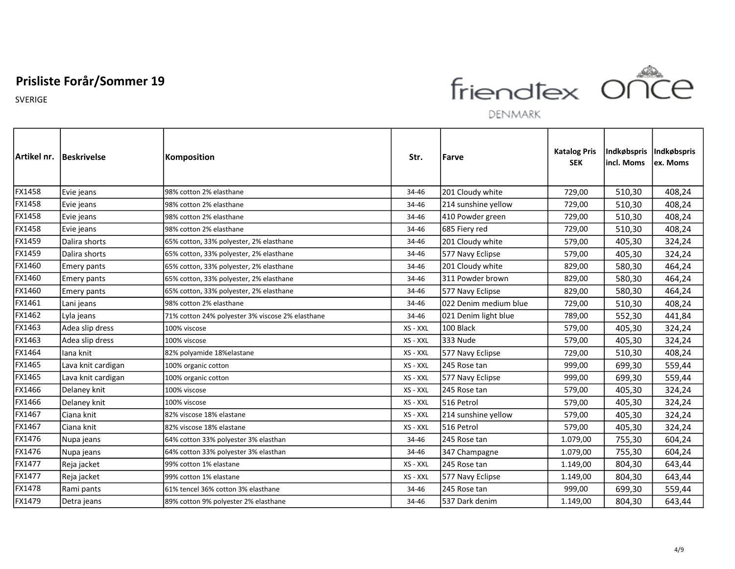

DENMARK

|               | Artikel nr.  Beskrivelse | Komposition                                      | Str.     | <b>Farve</b>           | <b>Katalog Pris</b><br><b>SEK</b> | Indkøbspris<br>incl. Moms | Indkøbspris<br>ex. Moms |
|---------------|--------------------------|--------------------------------------------------|----------|------------------------|-----------------------------------|---------------------------|-------------------------|
| <b>FX1458</b> | Evie jeans               | 98% cotton 2% elasthane                          | 34-46    | 201 Cloudy white       | 729,00                            | 510,30                    | 408,24                  |
| FX1458        | Evie jeans               | 98% cotton 2% elasthane                          | 34-46    | 214 sunshine yellow    | 729,00                            | 510,30                    | 408,24                  |
| FX1458        | Evie jeans               | 98% cotton 2% elasthane                          | 34-46    | 410 Powder green       | 729,00                            | 510,30                    | 408,24                  |
| FX1458        | Evie jeans               | 98% cotton 2% elasthane                          | 34-46    | 685 Fiery red          | 729,00                            | 510,30                    | 408,24                  |
| FX1459        | Dalira shorts            | 65% cotton, 33% polyester, 2% elasthane          | 34-46    | 201 Cloudy white       | 579,00                            | 405,30                    | 324,24                  |
| FX1459        | Dalira shorts            | 65% cotton, 33% polyester, 2% elasthane          | 34-46    | 577 Navy Eclipse       | 579,00                            | 405,30                    | 324,24                  |
| FX1460        | <b>Emery pants</b>       | 65% cotton, 33% polyester, 2% elasthane          | 34-46    | 201 Cloudy white       | 829,00                            | 580,30                    | 464,24                  |
| FX1460        | <b>Emery pants</b>       | 65% cotton, 33% polyester, 2% elasthane          | 34-46    | l311 Powder brown      | 829,00                            | 580,30                    | 464,24                  |
| FX1460        | <b>Emery pants</b>       | 65% cotton, 33% polyester, 2% elasthane          | 34-46    | 577 Navy Eclipse       | 829,00                            | 580,30                    | 464,24                  |
| FX1461        | Lani jeans               | 98% cotton 2% elasthane                          | 34-46    | l022 Denim medium blue | 729,00                            | 510,30                    | 408,24                  |
| FX1462        | Lyla jeans               | 71% cotton 24% polyester 3% viscose 2% elasthane | 34-46    | 021 Denim light blue   | 789,00                            | 552,30                    | 441,84                  |
| FX1463        | Adea slip dress          | 100% viscose                                     | XS - XXL | 100 Black              | 579,00                            | 405,30                    | 324,24                  |
| FX1463        | Adea slip dress          | 100% viscose                                     | XS - XXL | 333 Nude               | 579,00                            | 405,30                    | 324,24                  |
| FX1464        | lana knit                | 82% polyamide 18%elastane                        | XS - XXL | 577 Navy Eclipse       | 729,00                            | 510,30                    | 408,24                  |
| FX1465        | Lava knit cardigan       | 100% organic cotton                              | XS - XXL | 245 Rose tan           | 999,00                            | 699,30                    | 559,44                  |
| FX1465        | Lava knit cardigan       | 100% organic cotton                              | XS - XXL | 577 Navy Eclipse       | 999,00                            | 699,30                    | 559,44                  |
| FX1466        | Delaney knit             | 100% viscose                                     | XS - XXL | 245 Rose tan           | 579,00                            | 405,30                    | 324,24                  |
| FX1466        | Delaney knit             | 100% viscose                                     | XS - XXL | 516 Petrol             | 579,00                            | 405,30                    | 324,24                  |
| FX1467        | Ciana knit               | 82% viscose 18% elastane                         | XS - XXL | 214 sunshine yellow    | 579,00                            | 405,30                    | 324,24                  |
| FX1467        | Ciana knit               | 82% viscose 18% elastane                         | XS - XXL | 516 Petrol             | 579,00                            | 405,30                    | 324,24                  |
| FX1476        | Nupa jeans               | 64% cotton 33% polyester 3% elasthan             | 34-46    | 245 Rose tan           | 1.079,00                          | 755,30                    | 604,24                  |
| FX1476        | Nupa jeans               | 64% cotton 33% polyester 3% elasthan             | 34-46    | 347 Champagne          | 1.079,00                          | 755,30                    | 604,24                  |
| FX1477        | Reja jacket              | 99% cotton 1% elastane                           | XS - XXL | 245 Rose tan           | 1.149,00                          | 804,30                    | 643,44                  |
| FX1477        | Reja jacket              | 99% cotton 1% elastane                           | XS - XXL | 577 Navy Eclipse       | 1.149,00                          | 804,30                    | 643,44                  |
| FX1478        | Rami pants               | 61% tencel 36% cotton 3% elasthane               | 34-46    | 245 Rose tan           | 999,00                            | 699,30                    | 559,44                  |
| FX1479        | Detra jeans              | 89% cotton 9% polyester 2% elasthane             | 34-46    | 537 Dark denim         | 1.149,00                          | 804,30                    | 643,44                  |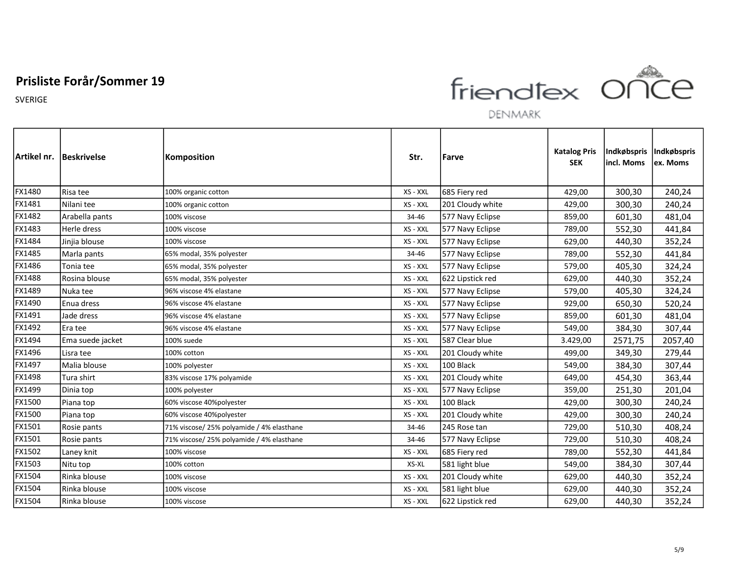SVERIGE



|        | Artikel nr.   Beskrivelse | Komposition                               | Str.     | Farve            | <b>Katalog Pris</b><br><b>SEK</b> | Indkøbspris<br>lincl. Moms | Indkøbspris<br>lex. Moms |
|--------|---------------------------|-------------------------------------------|----------|------------------|-----------------------------------|----------------------------|--------------------------|
| FX1480 | Risa tee                  | 100% organic cotton                       | XS - XXL | 685 Fiery red    | 429,00                            | 300,30                     | 240,24                   |
| FX1481 | Nilani tee                | 100% organic cotton                       | XS - XXL | 201 Cloudy white | 429,00                            | 300,30                     | 240,24                   |
| FX1482 | Arabella pants            | 100% viscose                              | 34-46    | 577 Navy Eclipse | 859,00                            | 601,30                     | 481,04                   |
| FX1483 | Herle dress               | 100% viscose                              | XS - XXL | 577 Navy Eclipse | 789,00                            | 552,30                     | 441,84                   |
| FX1484 | Jinjia blouse             | 100% viscose                              | XS - XXL | 577 Navy Eclipse | 629,00                            | 440,30                     | 352,24                   |
| FX1485 | Marla pants               | 65% modal, 35% polyester                  | 34-46    | 577 Navy Eclipse | 789,00                            | 552,30                     | 441,84                   |
| FX1486 | Tonia tee                 | 65% modal, 35% polyester                  | XS - XXL | 577 Navy Eclipse | 579,00                            | 405,30                     | 324,24                   |
| FX1488 | Rosina blouse             | 65% modal, 35% polyester                  | XS - XXL | 622 Lipstick red | 629,00                            | 440,30                     | 352,24                   |
| FX1489 | Nuka tee                  | 96% viscose 4% elastane                   | XS - XXL | 577 Navy Eclipse | 579,00                            | 405,30                     | 324,24                   |
| FX1490 | Enua dress                | 96% viscose 4% elastane                   | XS - XXL | 577 Navy Eclipse | 929,00                            | 650,30                     | 520,24                   |
| FX1491 | Jade dress                | 96% viscose 4% elastane                   | XS - XXL | 577 Navy Eclipse | 859,00                            | 601,30                     | 481,04                   |
| FX1492 | Era tee                   | 96% viscose 4% elastane                   | XS - XXL | 577 Navy Eclipse | 549,00                            | 384,30                     | 307,44                   |
| FX1494 | Ema suede jacket          | 100% suede                                | XS - XXL | 587 Clear blue   | 3.429,00                          | 2571,75                    | 2057,40                  |
| FX1496 | Lisra tee                 | 100% cotton                               | XS - XXL | 201 Cloudy white | 499,00                            | 349,30                     | 279,44                   |
| FX1497 | Malia blouse              | 100% polyester                            | XS - XXL | 100 Black        | 549,00                            | 384,30                     | 307,44                   |
| FX1498 | Tura shirt                | 83% viscose 17% polyamide                 | XS - XXL | 201 Cloudy white | 649,00                            | 454,30                     | 363,44                   |
| FX1499 | Dinia top                 | 100% polyester                            | XS - XXL | 577 Navy Eclipse | 359,00                            | 251,30                     | 201,04                   |
| FX1500 | Piana top                 | 60% viscose 40%polyester                  | XS - XXL | 100 Black        | 429,00                            | 300,30                     | 240,24                   |
| FX1500 | Piana top                 | 60% viscose 40%polyester                  | XS - XXL | 201 Cloudy white | 429,00                            | 300,30                     | 240,24                   |
| FX1501 | Rosie pants               | 71% viscose/ 25% polyamide / 4% elasthane | 34-46    | 245 Rose tan     | 729,00                            | 510,30                     | 408,24                   |
| FX1501 | Rosie pants               | 71% viscose/ 25% polyamide / 4% elasthane | 34-46    | 577 Navy Eclipse | 729,00                            | 510,30                     | 408,24                   |
| FX1502 | Laney knit                | 100% viscose                              | XS - XXL | 685 Fiery red    | 789,00                            | 552,30                     | 441,84                   |
| FX1503 | Nitu top                  | 100% cotton                               | XS-XL    | 581 light blue   | 549,00                            | 384,30                     | 307,44                   |
| FX1504 | Rinka blouse              | 100% viscose                              | XS - XXL | 201 Cloudy white | 629,00                            | 440,30                     | 352,24                   |
| FX1504 | Rinka blouse              | 100% viscose                              | XS - XXL | 581 light blue   | 629,00                            | 440,30                     | 352,24                   |
| FX1504 | Rinka blouse              | 100% viscose                              | XS - XXL | 622 Lipstick red | 629,00                            | 440,30                     | 352,24                   |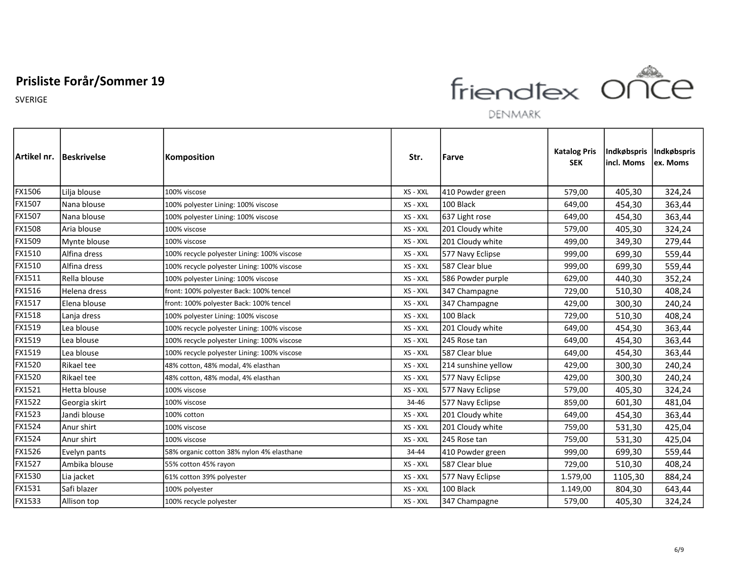

DENMARK

|               | Artikel nr. Beskrivelse | <b>Komposition</b>                          | Str.     | Farve               | <b>Katalog Pris</b><br><b>SEK</b> | Indkøbspris<br>lincl. Moms | Indkøbspris<br>lex. Moms |
|---------------|-------------------------|---------------------------------------------|----------|---------------------|-----------------------------------|----------------------------|--------------------------|
| FX1506        | Lilja blouse            | 100% viscose                                | XS - XXL | 410 Powder green    | 579,00                            | 405,30                     | 324,24                   |
| FX1507        | Nana blouse             | 100% polyester Lining: 100% viscose         | XS - XXL | 100 Black           | 649,00                            | 454,30                     | 363,44                   |
| FX1507        | Nana blouse             | 100% polyester Lining: 100% viscose         | XS - XXL | 637 Light rose      | 649,00                            | 454,30                     | 363,44                   |
| FX1508        | Aria blouse             | 100% viscose                                | XS - XXL | 201 Cloudy white    | 579,00                            | 405,30                     | 324,24                   |
| FX1509        | Mynte blouse            | 100% viscose                                | XS - XXL | 201 Cloudy white    | 499,00                            | 349,30                     | 279,44                   |
| FX1510        | Alfina dress            | 100% recycle polyester Lining: 100% viscose | XS - XXL | 577 Navy Eclipse    | 999,00                            | 699,30                     | 559,44                   |
| FX1510        | Alfina dress            | 100% recycle polyester Lining: 100% viscose | XS - XXL | 587 Clear blue      | 999,00                            | 699,30                     | 559,44                   |
| FX1511        | Rella blouse            | 100% polyester Lining: 100% viscose         | XS - XXL | 586 Powder purple   | 629,00                            | 440,30                     | 352,24                   |
| FX1516        | Helena dress            | front: 100% polyester Back: 100% tencel     | XS - XXL | 347 Champagne       | 729,00                            | 510,30                     | 408,24                   |
| FX1517        | Elena blouse            | front: 100% polyester Back: 100% tencel     | XS - XXL | 347 Champagne       | 429,00                            | 300,30                     | 240,24                   |
| FX1518        | Lanja dress             | 100% polyester Lining: 100% viscose         | XS - XXL | 100 Black           | 729,00                            | 510,30                     | 408,24                   |
| FX1519        | Lea blouse              | 100% recycle polyester Lining: 100% viscose | XS - XXL | 201 Cloudy white    | 649,00                            | 454,30                     | 363,44                   |
| FX1519        | Lea blouse              | 100% recycle polyester Lining: 100% viscose | XS - XXL | 245 Rose tan        | 649,00                            | 454,30                     | 363,44                   |
| FX1519        | Lea blouse              | 100% recycle polyester Lining: 100% viscose | XS - XXL | 587 Clear blue      | 649,00                            | 454,30                     | 363,44                   |
| FX1520        | Rikael tee              | 48% cotton, 48% modal, 4% elasthan          | XS - XXL | 214 sunshine yellow | 429,00                            | 300,30                     | 240,24                   |
| FX1520        | Rikael tee              | 48% cotton, 48% modal, 4% elasthan          | XS - XXL | 577 Navy Eclipse    | 429,00                            | 300,30                     | 240,24                   |
| FX1521        | Hetta blouse            | 100% viscose                                | XS - XXL | 577 Navy Eclipse    | 579,00                            | 405,30                     | 324,24                   |
| FX1522        | Georgia skirt           | 100% viscose                                | 34-46    | 577 Navy Eclipse    | 859,00                            | 601,30                     | 481,04                   |
| <b>FX1523</b> | Jandi blouse            | 100% cotton                                 | XS - XXL | 201 Cloudy white    | 649,00                            | 454,30                     | 363,44                   |
| FX1524        | Anur shirt              | 100% viscose                                | XS - XXL | 201 Cloudy white    | 759,00                            | 531,30                     | 425,04                   |
| <b>FX1524</b> | Anur shirt              | 100% viscose                                | XS - XXL | 245 Rose tan        | 759,00                            | 531,30                     | 425,04                   |
| FX1526        | Evelyn pants            | 58% organic cotton 38% nylon 4% elasthane   | 34-44    | 410 Powder green    | 999,00                            | 699,30                     | 559,44                   |
| <b>FX1527</b> | Ambika blouse           | 55% cotton 45% rayon                        | XS - XXL | 587 Clear blue      | 729,00                            | 510,30                     | 408,24                   |
| FX1530        | Lia jacket              | 61% cotton 39% polyester                    | XS - XXL | 577 Navy Eclipse    | 1.579,00                          | 1105,30                    | 884,24                   |
| FX1531        | Safi blazer             | 100% polyester                              | XS - XXL | 100 Black           | 1.149,00                          | 804,30                     | 643,44                   |
| FX1533        | Allison top             | 100% recycle polyester                      | XS - XXL | 347 Champagne       | 579,00                            | 405,30                     | 324,24                   |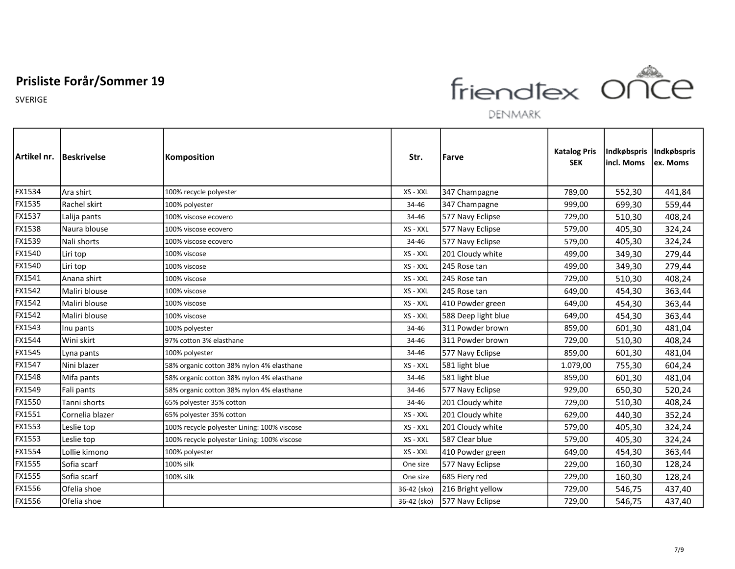

DENMARK

|        | Artikel nr.   Beskrivelse | <b>Komposition</b>                          | Str.        | Farve               | <b>Katalog Pris</b><br><b>SEK</b> | Indkøbspris <br>incl. Moms | Indkøbspris<br>ex. Moms |
|--------|---------------------------|---------------------------------------------|-------------|---------------------|-----------------------------------|----------------------------|-------------------------|
| FX1534 | Ara shirt                 | 100% recycle polyester                      | XS - XXL    | 347 Champagne       | 789,00                            | 552,30                     | 441,84                  |
| FX1535 | Rachel skirt              | 100% polyester                              | 34-46       | 347 Champagne       | 999,00                            | 699,30                     | 559,44                  |
| FX1537 | Lalija pants              | 100% viscose ecovero                        | 34-46       | 577 Navy Eclipse    | 729,00                            | 510,30                     | 408,24                  |
| FX1538 | Naura blouse              | 100% viscose ecovero                        | XS - XXL    | 577 Navy Eclipse    | 579,00                            | 405,30                     | 324,24                  |
| FX1539 | Nali shorts               | 100% viscose ecovero                        | 34-46       | 577 Navy Eclipse    | 579,00                            | 405,30                     | 324,24                  |
| FX1540 | Liri top                  | 100% viscose                                | XS - XXL    | 201 Cloudy white    | 499,00                            | 349,30                     | 279,44                  |
| FX1540 | Liri top                  | 100% viscose                                | XS - XXL    | 245 Rose tan        | 499,00                            | 349,30                     | 279,44                  |
| FX1541 | Anana shirt               | 100% viscose                                | XS - XXL    | 245 Rose tan        | 729,00                            | 510,30                     | 408,24                  |
| FX1542 | Maliri blouse             | 100% viscose                                | XS - XXL    | 245 Rose tan        | 649,00                            | 454,30                     | 363,44                  |
| FX1542 | Maliri blouse             | 100% viscose                                | XS - XXL    | 410 Powder green    | 649,00                            | 454,30                     | 363,44                  |
| FX1542 | Maliri blouse             | 100% viscose                                | XS - XXL    | 588 Deep light blue | 649,00                            | 454,30                     | 363,44                  |
| FX1543 | Inu pants                 | 100% polyester                              | 34-46       | 311 Powder brown    | 859,00                            | 601,30                     | 481,04                  |
| FX1544 | Wini skirt                | 97% cotton 3% elasthane                     | 34-46       | 311 Powder brown    | 729,00                            | 510,30                     | 408,24                  |
| FX1545 | Lyna pants                | 100% polyester                              | 34-46       | 577 Navy Eclipse    | 859,00                            | 601,30                     | 481,04                  |
| FX1547 | Nini blazer               | 58% organic cotton 38% nylon 4% elasthane   | XS - XXL    | 581 light blue      | 1.079,00                          | 755,30                     | 604,24                  |
| FX1548 | Mifa pants                | 58% organic cotton 38% nylon 4% elasthane   | 34-46       | 581 light blue      | 859,00                            | 601,30                     | 481,04                  |
| FX1549 | Fali pants                | 58% organic cotton 38% nylon 4% elasthane   | 34-46       | 577 Navy Eclipse    | 929,00                            | 650,30                     | 520,24                  |
| FX1550 | Tanni shorts              | 65% polyester 35% cotton                    | 34-46       | 201 Cloudy white    | 729,00                            | 510,30                     | 408,24                  |
| FX1551 | Cornelia blazer           | 65% polyester 35% cotton                    | XS - XXL    | 201 Cloudy white    | 629,00                            | 440,30                     | 352,24                  |
| FX1553 | Leslie top                | 100% recycle polyester Lining: 100% viscose | XS - XXL    | 201 Cloudy white    | 579,00                            | 405,30                     | 324,24                  |
| FX1553 | Leslie top                | 100% recycle polyester Lining: 100% viscose | XS - XXL    | 587 Clear blue      | 579,00                            | 405,30                     | 324,24                  |
| FX1554 | Lollie kimono             | 100% polyester                              | XS - XXL    | 410 Powder green    | 649,00                            | 454,30                     | 363,44                  |
| FX1555 | Sofia scarf               | 100% silk                                   | One size    | 577 Navy Eclipse    | 229,00                            | 160,30                     | 128,24                  |
| FX1555 | Sofia scarf               | 100% silk                                   | One size    | 685 Fiery red       | 229,00                            | 160,30                     | 128,24                  |
| FX1556 | Ofelia shoe               |                                             | 36-42 (sko) | 216 Bright yellow   | 729,00                            | 546,75                     | 437,40                  |
| FX1556 | Ofelia shoe               |                                             | 36-42 (sko) | 577 Navy Eclipse    | 729,00                            | 546,75                     | 437,40                  |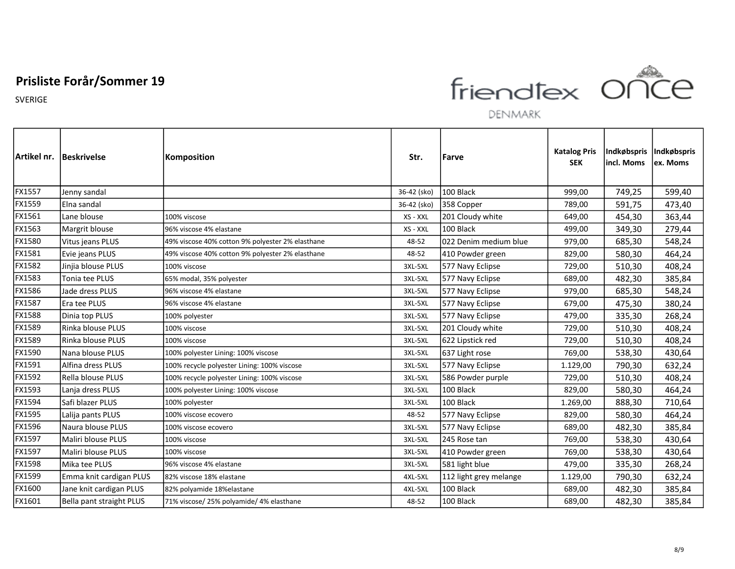SVERIGE



|        | Artikel nr. Beskrivelse  | Komposition                                      | Str.        | Farve                  | <b>Katalog Pris</b><br><b>SEK</b> | incl. Moms | Indkøbspris  Indkøbspris<br>lex. Moms |
|--------|--------------------------|--------------------------------------------------|-------------|------------------------|-----------------------------------|------------|---------------------------------------|
| FX1557 | Jenny sandal             |                                                  | 36-42 (sko) | 100 Black              | 999,00                            | 749,25     | 599,40                                |
| FX1559 | Elna sandal              |                                                  | 36-42 (sko) | 358 Copper             | 789,00                            | 591,75     | 473,40                                |
| FX1561 | Lane blouse              | 100% viscose                                     | XS - XXL    | 201 Cloudy white       | 649,00                            | 454,30     | 363,44                                |
| FX1563 | Margrit blouse           | 96% viscose 4% elastane                          | XS - XXL    | 100 Black              | 499,00                            | 349,30     | 279,44                                |
| FX1580 | Vitus jeans PLUS         | 49% viscose 40% cotton 9% polyester 2% elasthane | 48-52       | 022 Denim medium blue  | 979,00                            | 685,30     | 548,24                                |
| FX1581 | Evie jeans PLUS          | 49% viscose 40% cotton 9% polyester 2% elasthane | 48-52       | 410 Powder green       | 829,00                            | 580,30     | 464,24                                |
| FX1582 | Jinjia blouse PLUS       | 100% viscose                                     | 3XL-5XL     | 577 Navy Eclipse       | 729,00                            | 510,30     | 408,24                                |
| FX1583 | Tonia tee PLUS           | 65% modal, 35% polyester                         | 3XL-5XL     | 577 Navy Eclipse       | 689,00                            | 482,30     | 385,84                                |
| FX1586 | Jade dress PLUS          | 96% viscose 4% elastane                          | 3XL-5XL     | 577 Navy Eclipse       | 979,00                            | 685,30     | 548,24                                |
| FX1587 | Era tee PLUS             | 96% viscose 4% elastane                          | 3XL-5XL     | 577 Navy Eclipse       | 679,00                            | 475,30     | 380,24                                |
| FX1588 | Dinia top PLUS           | 100% polyester                                   | 3XL-5XL     | 577 Navy Eclipse       | 479,00                            | 335,30     | 268,24                                |
| FX1589 | Rinka blouse PLUS        | 100% viscose                                     | 3XL-5XL     | 201 Cloudy white       | 729,00                            | 510,30     | 408,24                                |
| FX1589 | Rinka blouse PLUS        | 100% viscose                                     | 3XL-5XL     | 622 Lipstick red       | 729,00                            | 510,30     | 408,24                                |
| FX1590 | Nana blouse PLUS         | 100% polyester Lining: 100% viscose              | 3XL-5XL     | 637 Light rose         | 769,00                            | 538,30     | 430,64                                |
| FX1591 | Alfina dress PLUS        | 100% recycle polyester Lining: 100% viscose      | 3XL-5XL     | 577 Navy Eclipse       | 1.129,00                          | 790,30     | 632,24                                |
| FX1592 | <b>Rella blouse PLUS</b> | 100% recycle polyester Lining: 100% viscose      | 3XL-5XL     | 586 Powder purple      | 729,00                            | 510,30     | 408,24                                |
| FX1593 | Lanja dress PLUS         | 100% polyester Lining: 100% viscose              | 3XL-5XL     | 100 Black              | 829,00                            | 580,30     | 464,24                                |
| FX1594 | Safi blazer PLUS         | 100% polyester                                   | 3XL-5XL     | 100 Black              | 1.269,00                          | 888,30     | 710,64                                |
| FX1595 | Lalija pants PLUS        | 100% viscose ecovero                             | 48-52       | 577 Navy Eclipse       | 829,00                            | 580,30     | 464,24                                |
| FX1596 | Naura blouse PLUS        | 100% viscose ecovero                             | 3XL-5XL     | 577 Navy Eclipse       | 689,00                            | 482,30     | 385,84                                |
| FX1597 | Maliri blouse PLUS       | 100% viscose                                     | 3XL-5XL     | 245 Rose tan           | 769,00                            | 538,30     | 430,64                                |
| FX1597 | Maliri blouse PLUS       | 100% viscose                                     | 3XL-5XL     | 410 Powder green       | 769,00                            | 538,30     | 430,64                                |
| FX1598 | Mika tee PLUS            | 96% viscose 4% elastane                          | 3XL-5XL     | 581 light blue         | 479,00                            | 335,30     | 268,24                                |
| FX1599 | Emma knit cardigan PLUS  | 82% viscose 18% elastane                         | 4XL-5XL     | 112 light grey melange | 1.129,00                          | 790,30     | 632,24                                |
| FX1600 | Jane knit cardigan PLUS  | 82% polyamide 18%elastane                        | 4XL-5XL     | 100 Black              | 689,00                            | 482,30     | 385,84                                |
| FX1601 | Bella pant straight PLUS | 71% viscose/ 25% polyamide/ 4% elasthane         | 48-52       | 100 Black              | 689,00                            | 482,30     | 385,84                                |